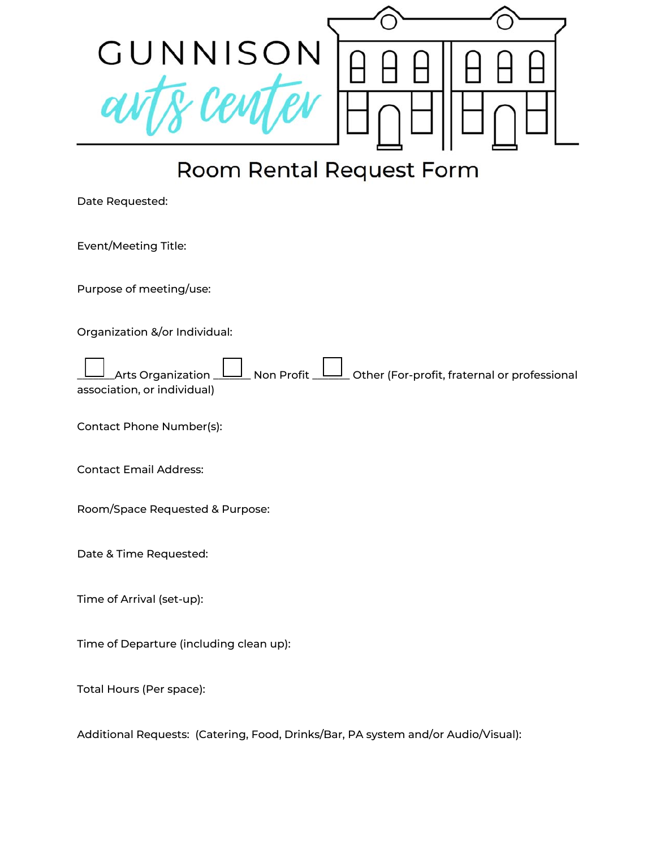

## Room Rental Request Form

Date Requested:

Event/Meeting Title:

Purpose of meeting/use:

Organization &/or Individual:

Arts Organization  $\Box$  Non Profit  $\Box$  Other (For-profit, fraternal or professional association, or individual)

Contact Phone Number(s):

Contact Email Address:

Room/Space Requested & Purpose:

Date & Time Requested:

Time of Arrival (set-up):

Time of Departure (including clean up):

Total Hours (Per space):

Additional Requests: (Catering, Food, Drinks/Bar, PA system and/or Audio/Visual):